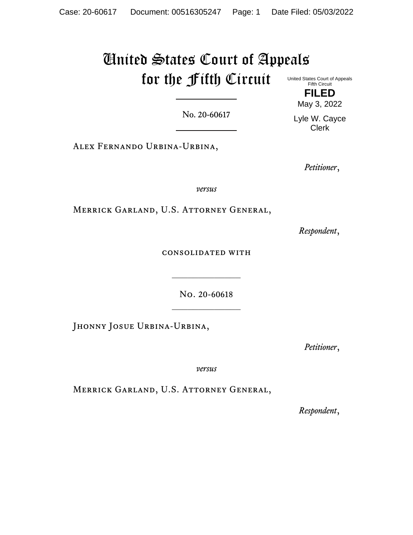## United States Court of Appeals for the Fifth Circuit United States Court of Appeals Fifth Circuit

No. 20-60617

Alex Fernando Urbina-Urbina,

*Petitioner*,

*versus*

Merrick Garland, U.S. Attorney General,

*Respondent*,

consolidated with

No. 20-60618

 $\frac{1}{2}$ 

JHONNY JOSUE URBINA-URBINA,

*Petitioner*,

*versus*

Merrick Garland, U.S. Attorney General,

*Respondent*,

**FILED** May 3, 2022

Lyle W. Cayce Clerk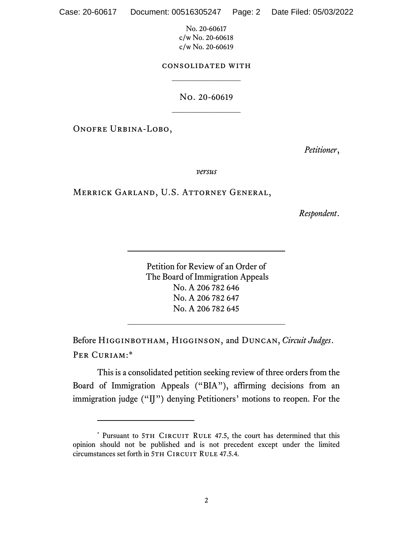## consolidated with  $\frac{1}{2}$

# No. 20-60619  $\frac{1}{2}$

Onofre Urbina-Lobo,

*Petitioner*,

*versus*

## Merrick Garland, U.S. Attorney General,

*Respondent*.

Petition for Review of an Order of The Board of Immigration Appeals No. A 206 782 646 No. A 206 782 647 No. A 206 782 645

Before Higginbotham, Higginson, and Duncan, *Circuit Judges*. PER CURIAM:\*

This is a consolidated petition seeking review of three orders from the Board of Immigration Appeals ("BIA"), affirming decisions from an immigration judge ("IJ") denying Petitioners' motions to reopen. For the

<sup>\*</sup> Pursuant to 5TH CIRCUIT RULE 47.5, the court has determined that this opinion should not be published and is not precedent except under the limited circumstances set forth in 5TH CIRCUIT RULE 47.5.4.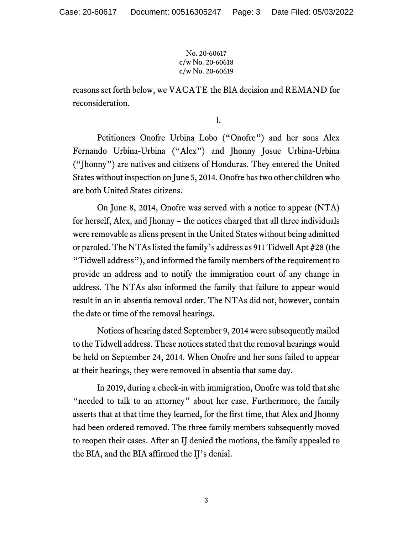reasons set forth below, we VACATE the BIA decision and REMAND for reconsideration.

I.

Petitioners Onofre Urbina Lobo ("Onofre") and her sons Alex Fernando Urbina-Urbina ("Alex") and Jhonny Josue Urbina-Urbina ("Jhonny") are natives and citizens of Honduras. They entered the United States without inspection on June 5, 2014. Onofre has two other children who are both United States citizens.

On June 8, 2014, Onofre was served with a notice to appear (NTA) for herself, Alex, and Jhonny – the notices charged that all three individuals were removable as aliens present in the United States without being admitted or paroled. The NTAs listed the family's address as 911 Tidwell Apt #28 (the "Tidwell address"), and informed the family members of the requirement to provide an address and to notify the immigration court of any change in address. The NTAs also informed the family that failure to appear would result in an in absentia removal order. The NTAs did not, however, contain the date or time of the removal hearings.

Notices of hearing dated September 9, 2014 were subsequently mailed to the Tidwell address. These notices stated that the removal hearings would be held on September 24, 2014. When Onofre and her sons failed to appear at their hearings, they were removed in absentia that same day.

In 2019, during a check-in with immigration, Onofre was told that she "needed to talk to an attorney" about her case. Furthermore, the family asserts that at that time they learned, for the first time, that Alex and Jhonny had been ordered removed. The three family members subsequently moved to reopen their cases. After an IJ denied the motions, the family appealed to the BIA, and the BIA affirmed the IJ's denial.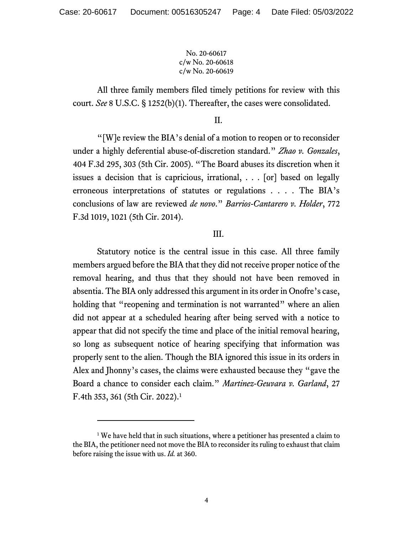All three family members filed timely petitions for review with this court. *See* 8 U.S.C. § 1252(b)(1). Thereafter, the cases were consolidated.

II.

"[W]e review the BIA's denial of a motion to reopen or to reconsider under a highly deferential abuse-of-discretion standard." *Zhao v. Gonzales*, 404 F.3d 295, 303 (5th Cir. 2005). "The Board abuses its discretion when it issues a decision that is capricious, irrational, . . . [or] based on legally erroneous interpretations of statutes or regulations . . . . The BIA's conclusions of law are reviewed *de novo*." *Barrios-Cantarero v. Holder*, 772 F.3d 1019, 1021 (5th Cir. 2014).

## III.

Statutory notice is the central issue in this case. All three family members argued before the BIA that they did not receive proper notice of the removal hearing, and thus that they should not have been removed in absentia. The BIA only addressed this argument in its order in Onofre's case, holding that "reopening and termination is not warranted" where an alien did not appear at a scheduled hearing after being served with a notice to appear that did not specify the time and place of the initial removal hearing, so long as subsequent notice of hearing specifying that information was properly sent to the alien. Though the BIA ignored this issue in its orders in Alex and Jhonny's cases, the claims were exhausted because they "gave the Board a chance to consider each claim." *Martinez-Geuvara v. Garland*, 27 F.4th 353, 361 (5th Cir. 2022).<sup>1</sup>

<sup>&</sup>lt;sup>1</sup> We have held that in such situations, where a petitioner has presented a claim to the BIA, the petitioner need not move the BIA to reconsider its ruling to exhaust that claim before raising the issue with us. *Id.* at 360.